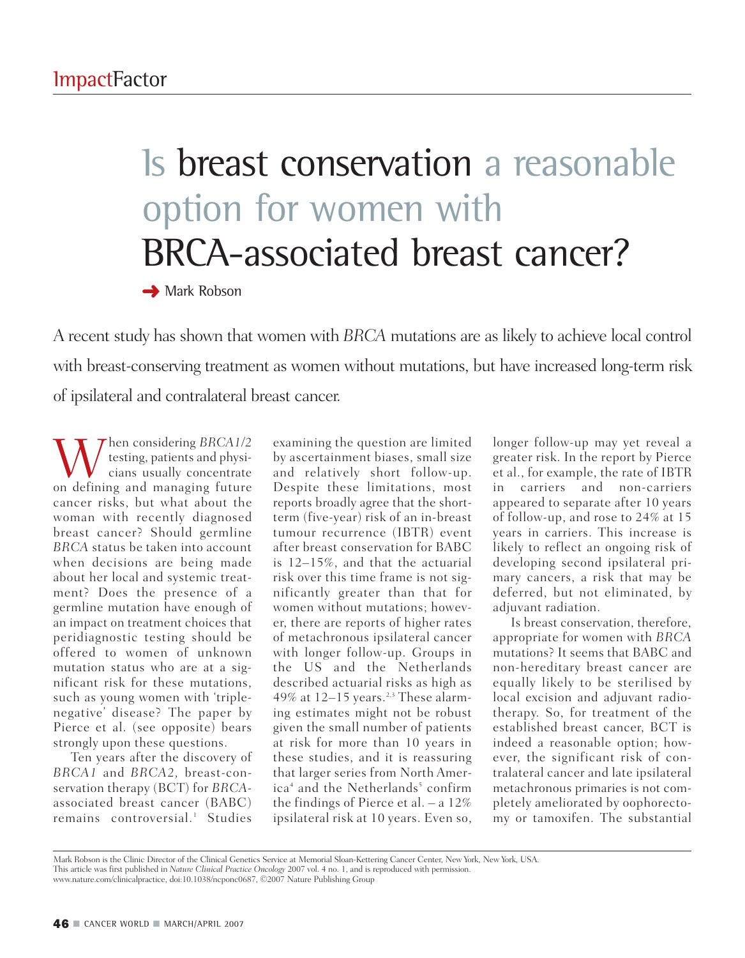## Is breast conservation a reasonable option for women with BRCA-associated breast cancer?

**➜** Mark Robson

A recent study has shown that women with *BRCA* mutations are as likely to achieve local control with breast-conserving treatment as women without mutations, but have increased long-term risk of ipsilateral and contralateral breast cancer.

Then considering *BRCA1/2* testing, patients and physicians usually concentrate on defining and managing future cancer risks, but what about the woman with recently diagnosed breast cancer? Should germline *BRCA* status be taken into account when decisions are being made about her local and systemic treatment? Does the presence of a germline mutation have enough of an impact on treatment choices that peridiagnostic testing should be offered to women of unknown mutation status who are at a significant risk for these mutations, such as young women with 'triplenegative' disease? The paper by Pierce et al. (see opposite) bears strongly upon these questions.

Ten years after the discovery of *BRCA1* and *BRCA2,* breast-conservation therapy (BCT) for *BRCA*associated breast cancer (BABC) remains controversial.<sup>1</sup> Studies

examining the question are limited by ascertainment biases, small size and relatively short follow-up. Despite these limitations, most reports broadly agree that the shortterm (five-year) risk of an in-breast tumour recurrence (IBTR) event after breast conservation for BABC is 12–15%, and that the actuarial risk over this time frame is not significantly greater than that for women without mutations; however, there are reports of higher rates of metachronous ipsilateral cancer with longer follow-up. Groups in the US and the Netherlands described actuarial risks as high as 49% at  $12-15$  years.<sup>2,3</sup> These alarming estimates might not be robust given the small number of patients at risk for more than 10 years in these studies, and it is reassuring that larger series from North America<sup>4</sup> and the Netherlands<sup>5</sup> confirm the findings of Pierce et al. – a 12% ipsilateral risk at 10 years. Even so,

longer follow-up may yet reveal a greater risk. In the report by Pierce et al., for example, the rate of IBTR in carriers and non-carriers appeared to separate after 10 years of follow-up, and rose to 24% at 15 years in carriers. This increase is likely to reflect an ongoing risk of developing second ipsilateral primary cancers, a risk that may be deferred, but not eliminated, by adiuvant radiation.

Is breast conservation, therefore, appropriate for women with *BRCA* mutations? It seems that BABC and non-hereditary breast cancer are equally likely to be sterilised by local excision and adjuvant radiotherapy. So, for treatment of the established breast cancer, BCT is indeed a reasonable option; however, the significant risk of contralateral cancer and late ipsilateral metachronous primaries is not completely ameliorated by oophorectomy or tamoxifen. The substantial

Mark Robson is the Clinic Director of the Clinical Genetics Service at Memorial Sloan-Kettering Cancer Center, New York, New York, USA. This article was first published in *Nature Clinical Practice Oncology* 2007 vol. 4 no. 1, and is reproduced with permission.<br>www.nature.com/clinicalpractice, doi:10.1038/ncponc0687, ©2007 Nature Publishing Group